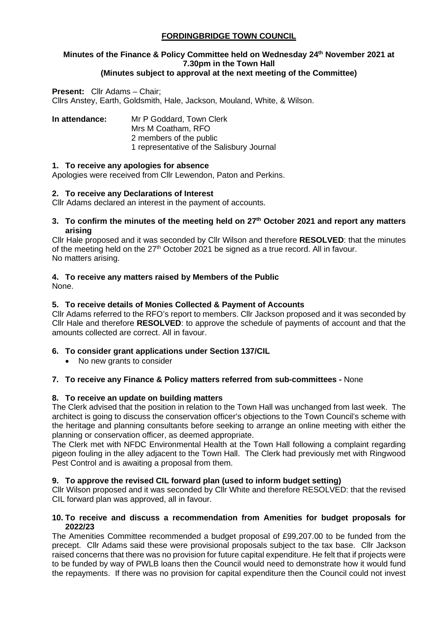# **FORDINGBRIDGE TOWN COUNCIL**

# **Minutes of the Finance & Policy Committee held on Wednesday 24th November 2021 at 7.30pm in the Town Hall**

## **(Minutes subject to approval at the next meeting of the Committee)**

**Present:** Cllr Adams – Chair; Cllrs Anstey, Earth, Goldsmith, Hale, Jackson, Mouland, White, & Wilson.

**In attendance:** Mr P Goddard, Town Clerk Mrs M Coatham, RFO 2 members of the public 1 representative of the Salisbury Journal

#### **1. To receive any apologies for absence**

Apologies were received from Cllr Lewendon, Paton and Perkins.

#### **2. To receive any Declarations of Interest**

Cllr Adams declared an interest in the payment of accounts.

**3. To confirm the minutes of the meeting held on 27th October 2021 and report any matters arising**

Cllr Hale proposed and it was seconded by Cllr Wilson and therefore **RESOLVED**: that the minutes of the meeting held on the  $27<sup>th</sup>$  October 2021 be signed as a true record. All in favour. No matters arising.

#### **4. To receive any matters raised by Members of the Public**

None.

#### **5. To receive details of Monies Collected & Payment of Accounts**

Cllr Adams referred to the RFO's report to members. Cllr Jackson proposed and it was seconded by Cllr Hale and therefore **RESOLVED**: to approve the schedule of payments of account and that the amounts collected are correct. All in favour.

#### **6. To consider grant applications under Section 137/CIL**

• No new grants to consider

#### **7. To receive any Finance & Policy matters referred from sub-committees -** None

#### **8. To receive an update on building matters**

The Clerk advised that the position in relation to the Town Hall was unchanged from last week. The architect is going to discuss the conservation officer's objections to the Town Council's scheme with the heritage and planning consultants before seeking to arrange an online meeting with either the planning or conservation officer, as deemed appropriate.

The Clerk met with NFDC Environmental Health at the Town Hall following a complaint regarding pigeon fouling in the alley adjacent to the Town Hall. The Clerk had previously met with Ringwood Pest Control and is awaiting a proposal from them.

#### **9. To approve the revised CIL forward plan (used to inform budget setting)**

Cllr Wilson proposed and it was seconded by Cllr White and therefore RESOLVED: that the revised CIL forward plan was approved, all in favour.

#### **10. To receive and discuss a recommendation from Amenities for budget proposals for 2022/23**

The Amenities Committee recommended a budget proposal of £99,207.00 to be funded from the precept. Cllr Adams said these were provisional proposals subject to the tax base. Cllr Jackson raised concerns that there was no provision for future capital expenditure. He felt that if projects were to be funded by way of PWLB loans then the Council would need to demonstrate how it would fund the repayments. If there was no provision for capital expenditure then the Council could not invest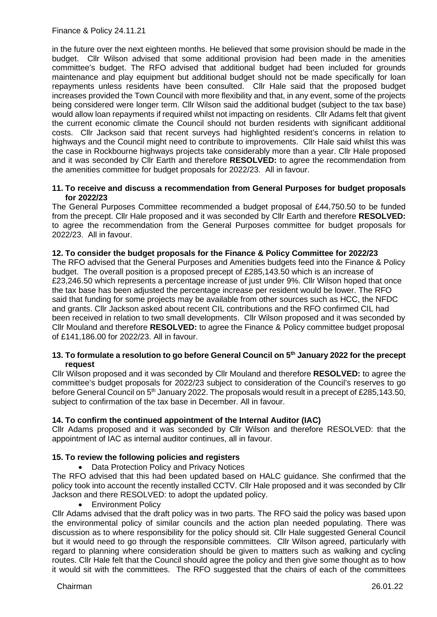Finance & Policy 24.11.21

in the future over the next eighteen months. He believed that some provision should be made in the budget. Cllr Wilson advised that some additional provision had been made in the amenities committee's budget. The RFO advised that additional budget had been included for grounds maintenance and play equipment but additional budget should not be made specifically for loan repayments unless residents have been consulted. Cllr Hale said that the proposed budget increases provided the Town Council with more flexibility and that, in any event, some of the projects being considered were longer term. Cllr Wilson said the additional budget (subject to the tax base) would allow loan repayments if required whilst not impacting on residents. Cllr Adams felt that givent the current economic climate the Council should not burden residents with significant additional costs. Cllr Jackson said that recent surveys had highlighted resident's concerns in relation to highways and the Council might need to contribute to improvements. Cllr Hale said whilst this was the case in Rockbourne highways projects take considerably more than a year. Cllr Hale proposed and it was seconded by Cllr Earth and therefore **RESOLVED:** to agree the recommendation from the amenities committee for budget proposals for 2022/23. All in favour.

#### **11. To receive and discuss a recommendation from General Purposes for budget proposals for 2022/23**

The General Purposes Committee recommended a budget proposal of £44,750.50 to be funded from the precept. Cllr Hale proposed and it was seconded by Cllr Earth and therefore **RESOLVED:** to agree the recommendation from the General Purposes committee for budget proposals for 2022/23. All in favour.

#### **12. To consider the budget proposals for the Finance & Policy Committee for 2022/23**

The RFO advised that the General Purposes and Amenities budgets feed into the Finance & Policy budget. The overall position is a proposed precept of £285,143.50 which is an increase of £23,246.50 which represents a percentage increase of just under 9%. Cllr Wilson hoped that once the tax base has been adjusted the percentage increase per resident would be lower. The RFO said that funding for some projects may be available from other sources such as HCC, the NFDC and grants. Cllr Jackson asked about recent CIL contributions and the RFO confirmed CIL had been received in relation to two small developments. Cllr Wilson proposed and it was seconded by Cllr Mouland and therefore **RESOLVED:** to agree the Finance & Policy committee budget proposal of £141,186.00 for 2022/23. All in favour.

#### **13. To formulate a resolution to go before General Council on 5th January 2022 for the precept request**

Cllr Wilson proposed and it was seconded by Cllr Mouland and therefore **RESOLVED:** to agree the committee's budget proposals for 2022/23 subject to consideration of the Council's reserves to go before General Council on 5<sup>th</sup> January 2022. The proposals would result in a precept of £285,143.50, subject to confirmation of the tax base in December. All in favour.

#### **14. To confirm the continued appointment of the Internal Auditor (IAC)**

Cllr Adams proposed and it was seconded by Cllr Wilson and therefore RESOLVED: that the appointment of IAC as internal auditor continues, all in favour.

#### **15. To review the following policies and registers**

• Data Protection Policy and Privacy Notices

The RFO advised that this had been updated based on HALC guidance. She confirmed that the policy took into account the recently installed CCTV. Cllr Hale proposed and it was seconded by Cllr Jackson and there RESOLVED: to adopt the updated policy.

• Environment Policy

Cllr Adams advised that the draft policy was in two parts. The RFO said the policy was based upon the environmental policy of similar councils and the action plan needed populating. There was discussion as to where responsibility for the policy should sit. Cllr Hale suggested General Council but it would need to go through the responsible committees. Cllr Wilson agreed, particularly with regard to planning where consideration should be given to matters such as walking and cycling routes. Cllr Hale felt that the Council should agree the policy and then give some thought as to how it would sit with the committees. The RFO suggested that the chairs of each of the committees